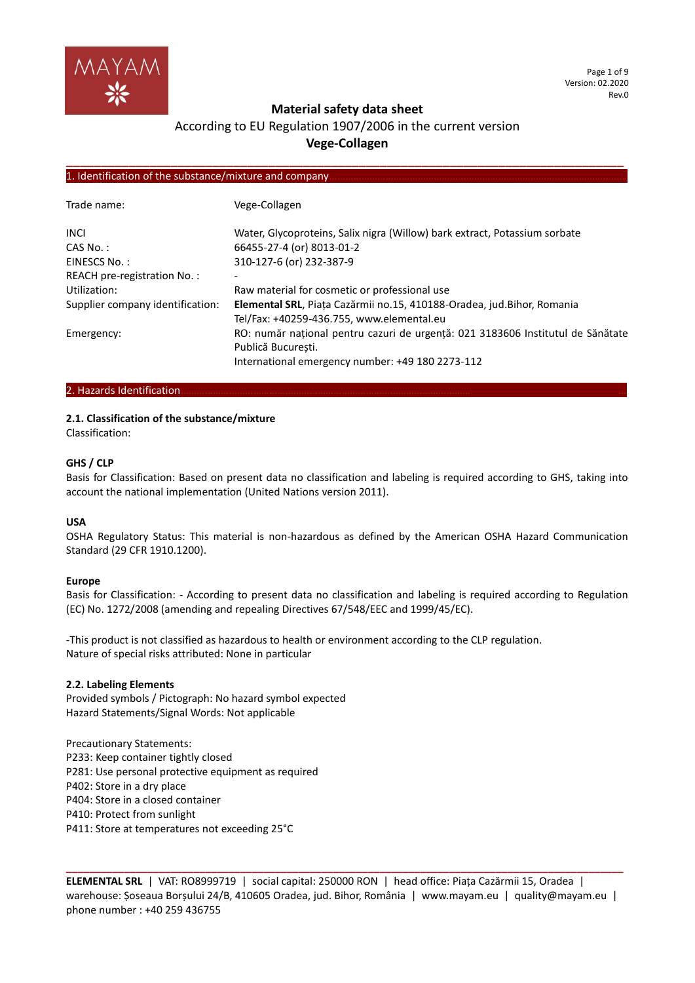

Page 1 of 9 Version: 02.2020 Rev.0

# **Material safety data sheet**

# According to EU Regulation 1907/2006 in the current version **Vege-Collagen**

**\_\_\_\_\_\_\_\_\_\_\_\_\_\_\_\_\_\_\_\_\_\_\_\_\_\_\_\_\_\_\_\_\_\_\_\_\_\_\_\_\_\_\_\_\_\_\_\_\_\_\_\_\_\_\_\_\_\_\_\_\_\_\_\_\_\_\_\_\_\_\_\_\_\_\_\_\_\_\_\_**

## 1. Identification of the substance/mixture and company.

| Trade name:                      | Vege-Collagen                                                                                                        |
|----------------------------------|----------------------------------------------------------------------------------------------------------------------|
| <b>INCI</b>                      | Water, Glycoproteins, Salix nigra (Willow) bark extract, Potassium sorbate                                           |
| CAS No.:                         | 66455-27-4 (or) 8013-01-2                                                                                            |
| EINESCS No.:                     | 310-127-6 (or) 232-387-9                                                                                             |
| REACH pre-registration No.:      |                                                                                                                      |
| Utilization:                     | Raw material for cosmetic or professional use                                                                        |
| Supplier company identification: | Elemental SRL, Piața Cazărmii no.15, 410188-Oradea, jud. Bihor, Romania<br>Tel/Fax: +40259-436.755, www.elemental.eu |
| Emergency:                       | RO: număr național pentru cazuri de urgență: 021 3183606 Institutul de Sănătate<br>Publică Bucuresti.                |
|                                  | International emergency number: +49 180 2273-112                                                                     |

## 2. Hazards Identification.

### **2.1. Classification of the substance/mixture**

Classification:

# **GHS / CLP**

Basis for Classification: Based on present data no classification and labeling is required according to GHS, taking into account the national implementation (United Nations version 2011).

### **USA**

OSHA Regulatory Status: This material is non-hazardous as defined by the American OSHA Hazard Communication Standard (29 CFR 1910.1200).

### **Europe**

Basis for Classification: - According to present data no classification and labeling is required according to Regulation (EC) No. 1272/2008 (amending and repealing Directives 67/548/EEC and 1999/45/EC).

-This product is not classified as hazardous to health or environment according to the CLP regulation. Nature of special risks attributed: None in particular

### **2.2. Labeling Elements**

Provided symbols / Pictograph: No hazard symbol expected Hazard Statements/Signal Words: Not applicable

Precautionary Statements: P233: Keep container tightly closed P281: Use personal protective equipment as required P402: Store in a dry place P404: Store in a closed container P410: Protect from sunlight P411: Store at temperatures not exceeding 25°C

**ELEMENTAL SRL** | VAT: RO8999719 | social capital: 250000 RON | head office: Piața Cazărmii 15, Oradea | warehouse: Șoseaua Borșului 24/B, 410605 Oradea, jud. Bihor, România | www.mayam.eu | quality@mayam.eu | phone number : +40 259 436755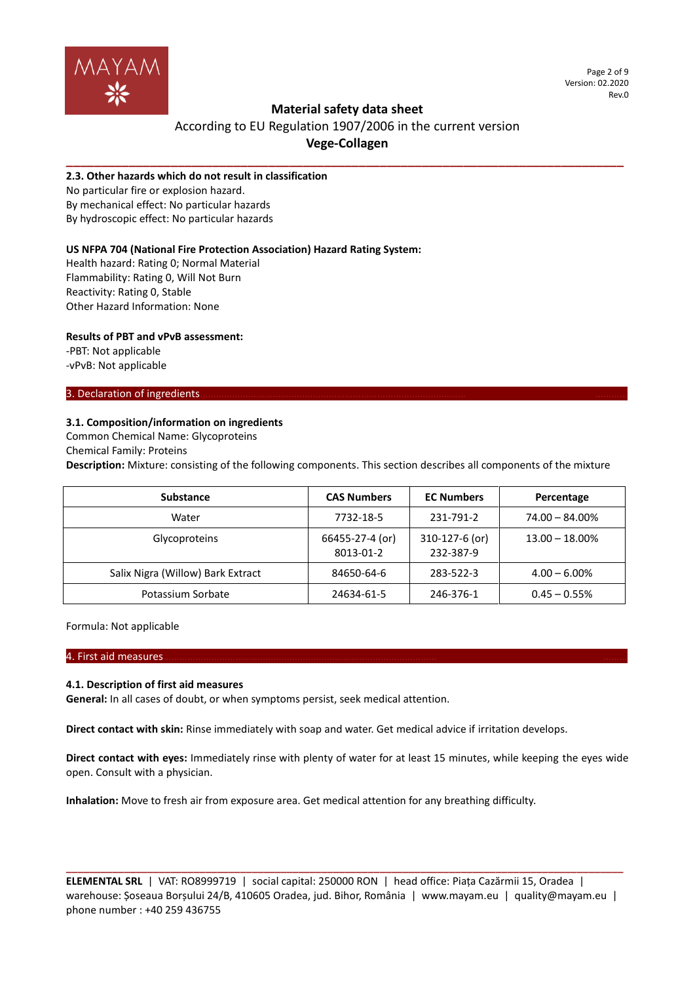

Page 2 of 9 Version: 02.2020 Rev.0

# **Material safety data sheet**

# According to EU Regulation 1907/2006 in the current version **Vege-Collagen**

**\_\_\_\_\_\_\_\_\_\_\_\_\_\_\_\_\_\_\_\_\_\_\_\_\_\_\_\_\_\_\_\_\_\_\_\_\_\_\_\_\_\_\_\_\_\_\_\_\_\_\_\_\_\_\_\_\_\_\_\_\_\_\_\_\_\_\_\_\_\_\_\_\_\_\_\_\_\_\_\_**

# **2.3. Other hazards which do not result in classification**

No particular fire or explosion hazard. By mechanical effect: No particular hazards By hydroscopic effect: No particular hazards

# **US NFPA 704 (National Fire Protection Association) Hazard Rating System:**

Health hazard: Rating 0; Normal Material Flammability: Rating 0, Will Not Burn Reactivity: Rating 0, Stable Other Hazard Information: None

# **Results of PBT and vPvB assessment:**

-PBT: Not applicable -vPvB: Not applicable

# 3. Declaration of ingredients.

# **3.1. Composition/information on ingredients**

Common Chemical Name: Glycoproteins

Chemical Family: Proteins

**Description:** Mixture: consisting of the following components. This section describes all components of the mixture

| <b>Substance</b>                  | <b>CAS Numbers</b>           | <b>EC Numbers</b>           | Percentage        |
|-----------------------------------|------------------------------|-----------------------------|-------------------|
| Water                             | 7732-18-5                    | 231-791-2                   | $74.00 - 84.00\%$ |
| Glycoproteins                     | 66455-27-4 (or)<br>8013-01-2 | 310-127-6 (or)<br>232-387-9 | $13.00 - 18.00\%$ |
| Salix Nigra (Willow) Bark Extract | 84650-64-6                   | 283-522-3                   | $4.00 - 6.00\%$   |
| Potassium Sorbate                 | 24634-61-5                   | 246-376-1                   | $0.45 - 0.55\%$   |

Formula: Not applicable

# 4. First aid measures………………………………………………………………………………………… ………

# **4.1. Description of first aid measures**

**General:** In all cases of doubt, or when symptoms persist, seek medical attention.

**Direct contact with skin:** Rinse immediately with soap and water. Get medical advice if irritation develops.

**Direct contact with eyes:** Immediately rinse with plenty of water for at least 15 minutes, while keeping the eyes wide open. Consult with a physician.

**Inhalation:** Move to fresh air from exposure area. Get medical attention for any breathing difficulty.

**ELEMENTAL SRL** | VAT: RO8999719 | social capital: 250000 RON | head office: Piața Cazărmii 15, Oradea | warehouse: Șoseaua Borșului 24/B, 410605 Oradea, jud. Bihor, România | www.mayam.eu | quality@mayam.eu | phone number : +40 259 436755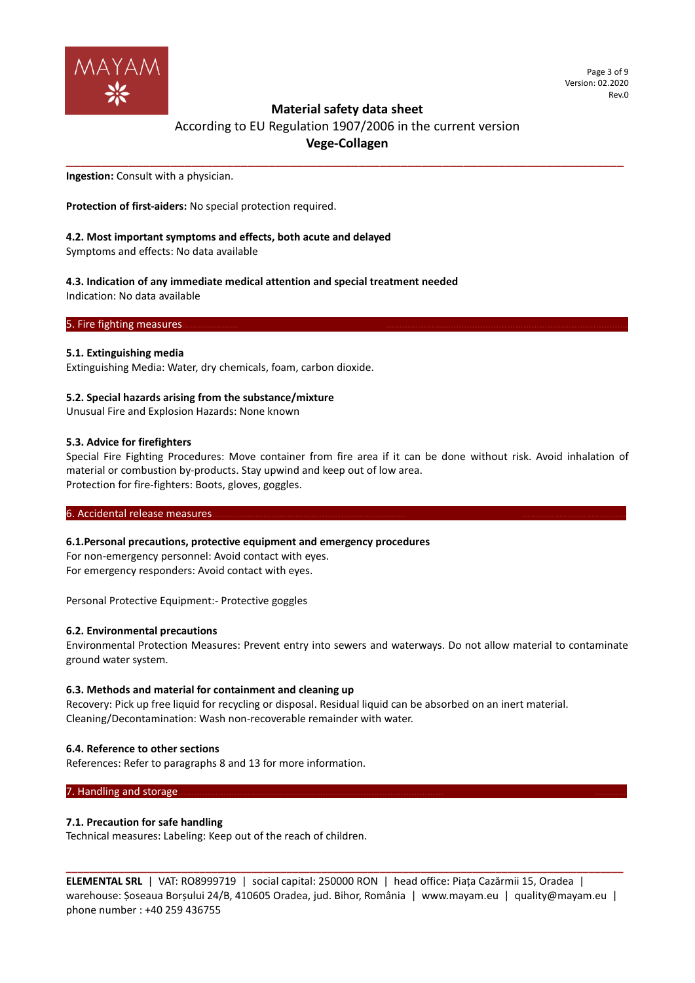

# **Material safety data sheet**

According to EU Regulation 1907/2006 in the current version **Vege-Collagen**

**\_\_\_\_\_\_\_\_\_\_\_\_\_\_\_\_\_\_\_\_\_\_\_\_\_\_\_\_\_\_\_\_\_\_\_\_\_\_\_\_\_\_\_\_\_\_\_\_\_\_\_\_\_\_\_\_\_\_\_\_\_\_\_\_\_\_\_\_\_\_\_\_\_\_\_\_\_\_\_\_**

**Ingestion:** Consult with a physician.

**Protection of first-aiders:** No special protection required.

## **4.2. Most important symptoms and effects, both acute and delayed**

Symptoms and effects: No data available

**4.3. Indication of any immediate medical attention and special treatment needed** Indication: No data available

5. Fire fighting measures.

## **5.1. Extinguishing media**

Extinguishing Media: Water, dry chemicals, foam, carbon dioxide.

### **5.2. Special hazards arising from the substance/mixture**

Unusual Fire and Explosion Hazards: None known

### **5.3. Advice for firefighters**

Special Fire Fighting Procedures: Move container from fire area if it can be done without risk. Avoid inhalation of material or combustion by-products. Stay upwind and keep out of low area. Protection for fire-fighters: Boots, gloves, goggles.

6. Accidental release measures.

### **6.1.Personal precautions, protective equipment and emergency procedures**

For non-emergency personnel: Avoid contact with eyes. For emergency responders: Avoid contact with eyes.

Personal Protective Equipment:- Protective goggles

### **6.2. Environmental precautions**

Environmental Protection Measures: Prevent entry into sewers and waterways. Do not allow material to contaminate ground water system.

### **6.3. Methods and material for containment and cleaning up**

Recovery: Pick up free liquid for recycling or disposal. Residual liquid can be absorbed on an inert material. Cleaning/Decontamination: Wash non-recoverable remainder with water.

### **6.4. Reference to other sections**

References: Refer to paragraphs 8 and 13 for more information.

## 7. Handling and storage

### **7.1. Precaution for safe handling**

Technical measures: Labeling: Keep out of the reach of children.

**ELEMENTAL SRL** | VAT: RO8999719 | social capital: 250000 RON | head office: Piața Cazărmii 15, Oradea | warehouse: Șoseaua Borșului 24/B, 410605 Oradea, jud. Bihor, România | www.mayam.eu | quality@mayam.eu | phone number : +40 259 436755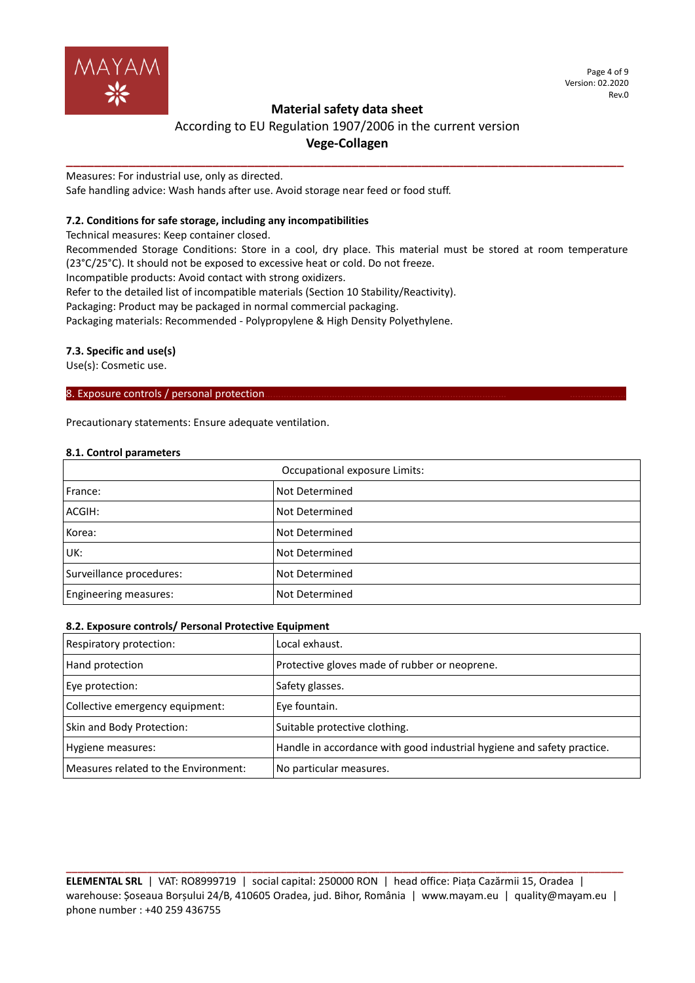

Page 4 of 9 Version: 02.2020 Rev.0

# **Material safety data sheet**

# According to EU Regulation 1907/2006 in the current version **Vege-Collagen**

**\_\_\_\_\_\_\_\_\_\_\_\_\_\_\_\_\_\_\_\_\_\_\_\_\_\_\_\_\_\_\_\_\_\_\_\_\_\_\_\_\_\_\_\_\_\_\_\_\_\_\_\_\_\_\_\_\_\_\_\_\_\_\_\_\_\_\_\_\_\_\_\_\_\_\_\_\_\_\_\_**

Measures: For industrial use, only as directed. Safe handling advice: Wash hands after use. Avoid storage near feed or food stuff.

# **7.2. Conditions for safe storage, including any incompatibilities**

Technical measures: Keep container closed.

Recommended Storage Conditions: Store in a cool, dry place. This material must be stored at room temperature (23°C/25°C). It should not be exposed to excessive heat or cold. Do not freeze.

Incompatible products: Avoid contact with strong oxidizers.

Refer to the detailed list of incompatible materials (Section 10 Stability/Reactivity).

Packaging: Product may be packaged in normal commercial packaging.

Packaging materials: Recommended - Polypropylene & High Density Polyethylene.

# **7.3. Specific and use(s)**

Use(s): Cosmetic use.

## 8. Exposure controls / personal protection.

Precautionary statements: Ensure adequate ventilation.

## **8.1. Control parameters**

| Occupational exposure Limits: |                |  |
|-------------------------------|----------------|--|
| France:                       | Not Determined |  |
| ACGIH:                        | Not Determined |  |
| Korea:                        | Not Determined |  |
| UK:                           | Not Determined |  |
| Surveillance procedures:      | Not Determined |  |
| <b>Engineering measures:</b>  | Not Determined |  |

# **8.2. Exposure controls/ Personal Protective Equipment**

| Respiratory protection:              | Local exhaust.                                                         |
|--------------------------------------|------------------------------------------------------------------------|
| Hand protection                      | Protective gloves made of rubber or neoprene.                          |
| Eye protection:                      | Safety glasses.                                                        |
| Collective emergency equipment:      | Eye fountain.                                                          |
| Skin and Body Protection:            | Suitable protective clothing.                                          |
| Hygiene measures:                    | Handle in accordance with good industrial hygiene and safety practice. |
| Measures related to the Environment: | No particular measures.                                                |

**ELEMENTAL SRL** | VAT: RO8999719 | social capital: 250000 RON | head office: Piața Cazărmii 15, Oradea | warehouse: Șoseaua Borșului 24/B, 410605 Oradea, jud. Bihor, România | www.mayam.eu | quality@mayam.eu | phone number : +40 259 436755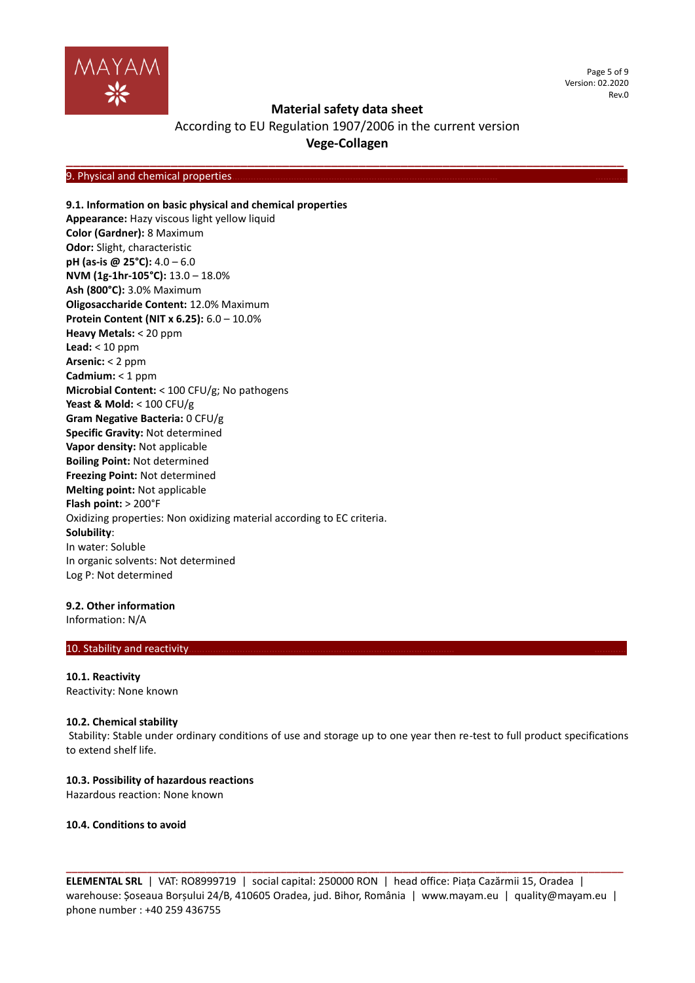

Page 5 of 9 Version: 02.2020 Rev.0

# **Material safety data sheet**

According to EU Regulation 1907/2006 in the current version **Vege-Collagen**

**\_\_\_\_\_\_\_\_\_\_\_\_\_\_\_\_\_\_\_\_\_\_\_\_\_\_\_\_\_\_\_\_\_\_\_\_\_\_\_\_\_\_\_\_\_\_\_\_\_\_\_\_\_\_\_\_\_\_\_\_\_\_\_\_\_\_\_\_\_\_\_\_\_\_\_\_\_\_\_\_**

9. Physical and chemical properties

## **9.1. Information on basic physical and chemical properties**

**Appearance:** Hazy viscous light yellow liquid **Color (Gardner):** 8 Maximum **Odor:** Slight, characteristic **pH (as-is @ 25°C):** 4.0 – 6.0 **NVM (1g-1hr-105°C):** 13.0 – 18.0% **Ash (800°C):** 3.0% Maximum **Oligosaccharide Content:** 12.0% Maximum **Protein Content (NIT x 6.25):** 6.0 – 10.0% **Heavy Metals:** < 20 ppm **Lead:** < 10 ppm **Arsenic:** < 2 ppm **Cadmium:** < 1 ppm **Microbial Content:** < 100 CFU/g; No pathogens **Yeast & Mold:** < 100 CFU/g **Gram Negative Bacteria:** 0 CFU/g **Specific Gravity:** Not determined **Vapor density:** Not applicable **Boiling Point:** Not determined **Freezing Point:** Not determined **Melting point:** Not applicable **Flash point:** > 200°F Oxidizing properties: Non oxidizing material according to EC criteria. **Solubility**: In water: Soluble In organic solvents: Not determined Log P: Not determined

## **9.2. Other information**

Information: N/A

# 10. Stability and reactivity

**10.1. Reactivity** Reactivity: None known

### **10.2. Chemical stability**

Stability: Stable under ordinary conditions of use and storage up to one year then re-test to full product specifications to extend shelf life.

### **10.3. Possibility of hazardous reactions**

Hazardous reaction: None known

#### **10.4. Conditions to avoid**

**ELEMENTAL SRL** | VAT: RO8999719 | social capital: 250000 RON | head office: Piața Cazărmii 15, Oradea | warehouse: Șoseaua Borșului 24/B, 410605 Oradea, jud. Bihor, România | www.mayam.eu | quality@mayam.eu | phone number : +40 259 436755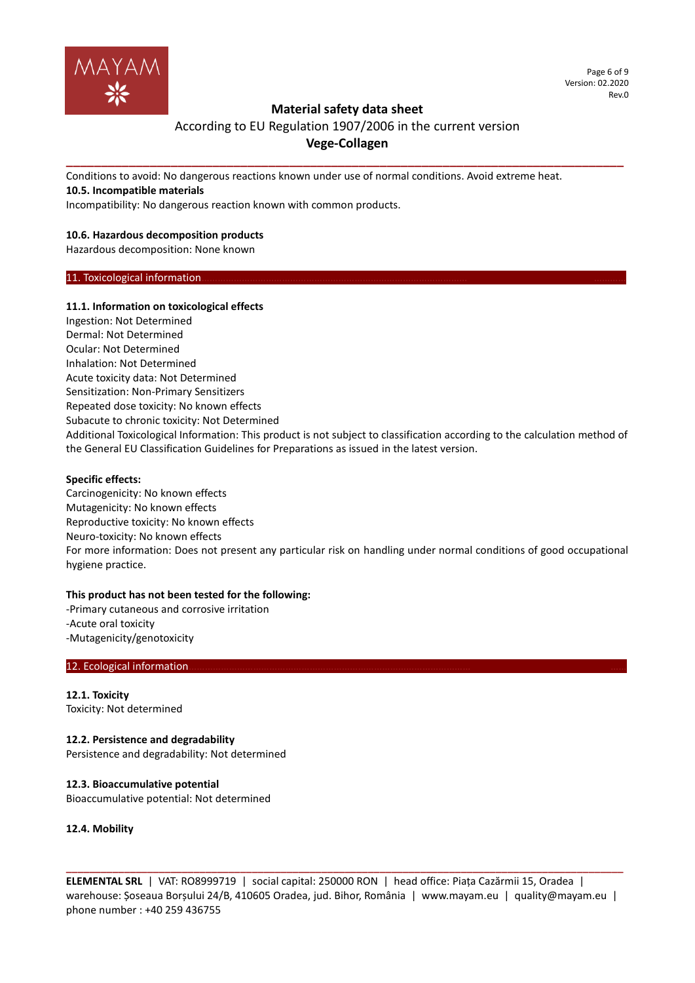

# **Material safety data sheet**

# According to EU Regulation 1907/2006 in the current version **Vege-Collagen**

**\_\_\_\_\_\_\_\_\_\_\_\_\_\_\_\_\_\_\_\_\_\_\_\_\_\_\_\_\_\_\_\_\_\_\_\_\_\_\_\_\_\_\_\_\_\_\_\_\_\_\_\_\_\_\_\_\_\_\_\_\_\_\_\_\_\_\_\_\_\_\_\_\_\_\_\_\_\_\_\_**

Conditions to avoid: No dangerous reactions known under use of normal conditions. Avoid extreme heat. **10.5. Incompatible materials**

Incompatibility: No dangerous reaction known with common products.

# **10.6. Hazardous decomposition products**

Hazardous decomposition: None known

## 11. Toxicological information.

# **11.1. Information on toxicological effects**

Ingestion: Not Determined Dermal: Not Determined Ocular: Not Determined Inhalation: Not Determined Acute toxicity data: Not Determined Sensitization: Non-Primary Sensitizers Repeated dose toxicity: No known effects Subacute to chronic toxicity: Not Determined Additional Toxicological Information: This product is not subject to classification according to the calculation method of the General EU Classification Guidelines for Preparations as issued in the latest version.

# **Specific effects:**

Carcinogenicity: No known effects Mutagenicity: No known effects Reproductive toxicity: No known effects Neuro-toxicity: No known effects For more information: Does not present any particular risk on handling under normal conditions of good occupational hygiene practice.

# **This product has not been tested for the following:**

-Primary cutaneous and corrosive irritation -Acute oral toxicity -Mutagenicity/genotoxicity

### 12. Ecological information.

**12.1. Toxicity** Toxicity: Not determined

**12.2. Persistence and degradability** Persistence and degradability: Not determined

**12.3. Bioaccumulative potential** Bioaccumulative potential: Not determined

**12.4. Mobility**

**ELEMENTAL SRL** | VAT: RO8999719 | social capital: 250000 RON | head office: Piața Cazărmii 15, Oradea | warehouse: Șoseaua Borșului 24/B, 410605 Oradea, jud. Bihor, România | www.mayam.eu | quality@mayam.eu | phone number : +40 259 436755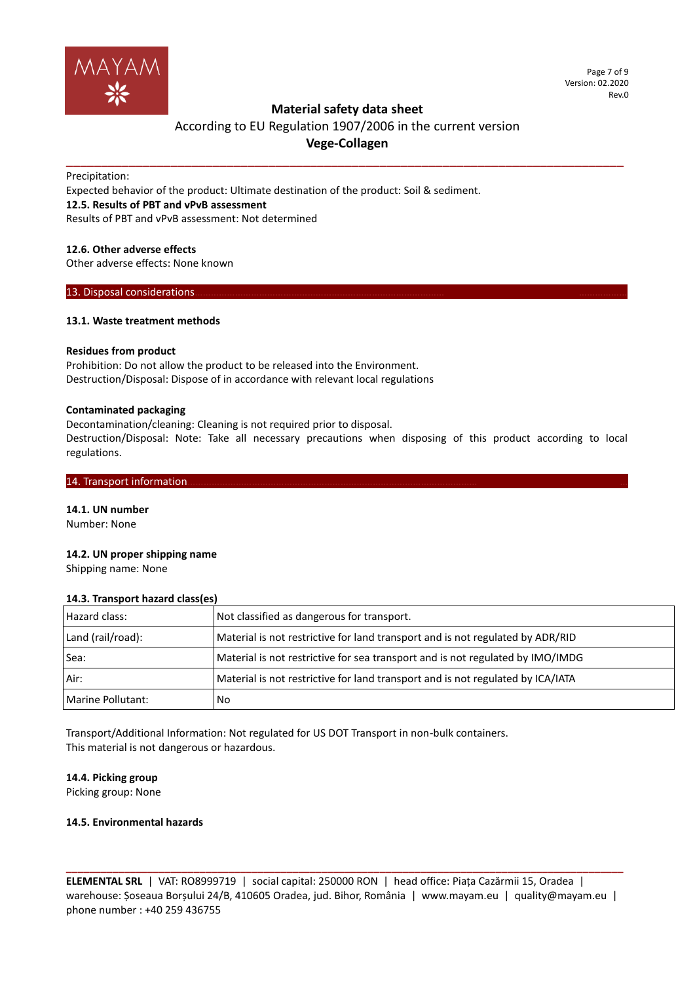

Page 7 of 9 Version: 02.2020 Rev.0

# **Material safety data sheet**

# According to EU Regulation 1907/2006 in the current version **Vege-Collagen**

**\_\_\_\_\_\_\_\_\_\_\_\_\_\_\_\_\_\_\_\_\_\_\_\_\_\_\_\_\_\_\_\_\_\_\_\_\_\_\_\_\_\_\_\_\_\_\_\_\_\_\_\_\_\_\_\_\_\_\_\_\_\_\_\_\_\_\_\_\_\_\_\_\_\_\_\_\_\_\_\_**

Precipitation:

Expected behavior of the product: Ultimate destination of the product: Soil & sediment.

# **12.5. Results of PBT and vPvB assessment**

Results of PBT and vPvB assessment: Not determined

# **12.6. Other adverse effects**

Other adverse effects: None known

13. Disposal considerations

## **13.1. Waste treatment methods**

## **Residues from product**

Prohibition: Do not allow the product to be released into the Environment. Destruction/Disposal: Dispose of in accordance with relevant local regulations

## **Contaminated packaging**

Decontamination/cleaning: Cleaning is not required prior to disposal.

Destruction/Disposal: Note: Take all necessary precautions when disposing of this product according to local regulations.

## 14. Transport information.

**14.1. UN number** Number: None

# **14.2. UN proper shipping name**

Shipping name: None

### **14.3. Transport hazard class(es)**

| Hazard class:     | Not classified as dangerous for transport.                                      |
|-------------------|---------------------------------------------------------------------------------|
| Land (rail/road): | Material is not restrictive for land transport and is not regulated by ADR/RID  |
| Sea:              | Material is not restrictive for sea transport and is not regulated by IMO/IMDG  |
| Air:              | Material is not restrictive for land transport and is not regulated by ICA/IATA |
| Marine Pollutant: | No.                                                                             |

Transport/Additional Information: Not regulated for US DOT Transport in non-bulk containers. This material is not dangerous or hazardous.

### **14.4. Picking group**

Picking group: None

# **14.5. Environmental hazards**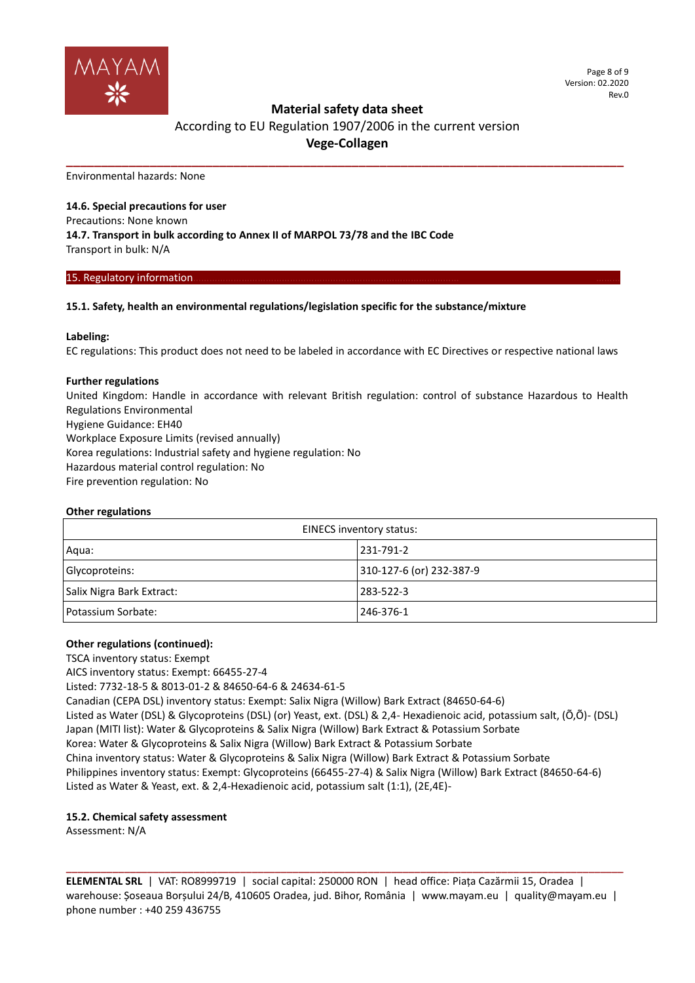

# **Material safety data sheet**

# According to EU Regulation 1907/2006 in the current version **Vege-Collagen**

**\_\_\_\_\_\_\_\_\_\_\_\_\_\_\_\_\_\_\_\_\_\_\_\_\_\_\_\_\_\_\_\_\_\_\_\_\_\_\_\_\_\_\_\_\_\_\_\_\_\_\_\_\_\_\_\_\_\_\_\_\_\_\_\_\_\_\_\_\_\_\_\_\_\_\_\_\_\_\_\_**

Environmental hazards: None

**14.6. Special precautions for user** Precautions: None known **14.7. Transport in bulk according to Annex II of MARPOL 73/78 and the IBC Code** Transport in bulk: N/A

## 15. Regulatory information.

# **15.1. Safety, health an environmental regulations/legislation specific for the substance/mixture**

# **Labeling:**

EC regulations: This product does not need to be labeled in accordance with EC Directives or respective national laws

# **Further regulations**

United Kingdom: Handle in accordance with relevant British regulation: control of substance Hazardous to Health Regulations Environmental Hygiene Guidance: EH40 Workplace Exposure Limits (revised annually) Korea regulations: Industrial safety and hygiene regulation: No Hazardous material control regulation: No Fire prevention regulation: No

# **Other regulations**

| EINECS inventory status:  |                          |  |
|---------------------------|--------------------------|--|
| Aqua:                     | 231-791-2                |  |
| Glycoproteins:            | 310-127-6 (or) 232-387-9 |  |
| Salix Nigra Bark Extract: | 283-522-3                |  |
| Potassium Sorbate:        | 246-376-1                |  |

# **Other regulations (continued):**

TSCA inventory status: Exempt

AICS inventory status: Exempt: 66455-27-4

Listed: 7732-18-5 & 8013-01-2 & 84650-64-6 & 24634-61-5

Canadian (CEPA DSL) inventory status: Exempt: Salix Nigra (Willow) Bark Extract (84650-64-6)

Listed as Water (DSL) & Glycoproteins (DSL) (or) Yeast, ext. (DSL) & 2,4- Hexadienoic acid, potassium salt, (Õ,Õ)- (DSL)

Japan (MITI list): Water & Glycoproteins & Salix Nigra (Willow) Bark Extract & Potassium Sorbate

Korea: Water & Glycoproteins & Salix Nigra (Willow) Bark Extract & Potassium Sorbate

China inventory status: Water & Glycoproteins & Salix Nigra (Willow) Bark Extract & Potassium Sorbate Philippines inventory status: Exempt: Glycoproteins (66455-27-4) & Salix Nigra (Willow) Bark Extract (84650-64-6) Listed as Water & Yeast, ext. & 2,4-Hexadienoic acid, potassium salt (1:1), (2E,4E)-

# **15.2. Chemical safety assessment**

Assessment: N/A

**ELEMENTAL SRL** | VAT: RO8999719 | social capital: 250000 RON | head office: Piața Cazărmii 15, Oradea | warehouse: Șoseaua Borșului 24/B, 410605 Oradea, jud. Bihor, România | www.mayam.eu | quality@mayam.eu | phone number : +40 259 436755